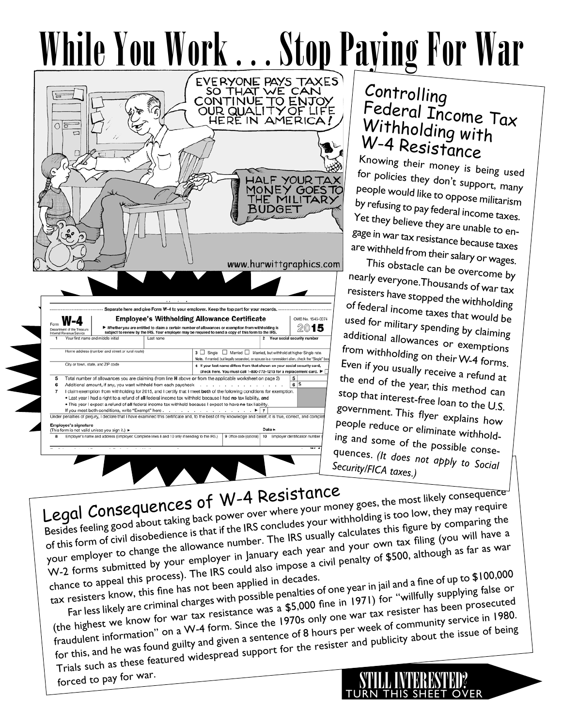



# Controlling Federal Income Tax Withholding with W-4 Resistance

Knowing their money is being used for policies they don't support, many people would like to oppose militarism by refusing to pay federal income taxes. Yet they believe they are unable to engage in war tax resistance because taxes are withheld from their salary or wages.

This obstacle can be overcome by nearly everyone. Thousands of war tax resisters have stopped the withholding of federal income taxes that would be used for military spending by claiming additional allowances or exemptions from withholding on their W-4 forms. Even if you usually receive a refund at the end of the year, this method can stop that interest-free loan to the U.S. government. This flyer explains how people reduce or eliminate withholding and some of the possible consequences. *(It does not apply to Social Security/FICA taxes.)*

INTERESTED

Turn this sheet over

Legal Consequences of W-4 Resistance Besides feeling good about taking back power over where your money goes, the most likely consequence of this form of civil disobedience is that if the IRS concludes your withholding is too low, they may require your employer to change the allowance number. The IRS usually calculates this figure by comparing the W-2 forms submitted by your employer in January each year and your own tax filing (you will have a chance to appeal this process). The IRS could also impose a civil penalty of \$500, although as far as war

tax resisters know, this fine has not been applied in decades. Far less likely are criminal charges with possible penalties of one year in jail and a fine of up to \$100,000

(the highest we know for war tax resistance was a \$5,000 fine in 1971) for "willfully supplying false or fraudulent information" on a W-4 form. Since the 1970s only one war tax resister has been prosecuted for this, and he was found guilty and given a sentence of 8 hours per week of community service in 1980. Trials such as these featured widespread support for the resister and publicity about the issue of being

forced to pay for war.